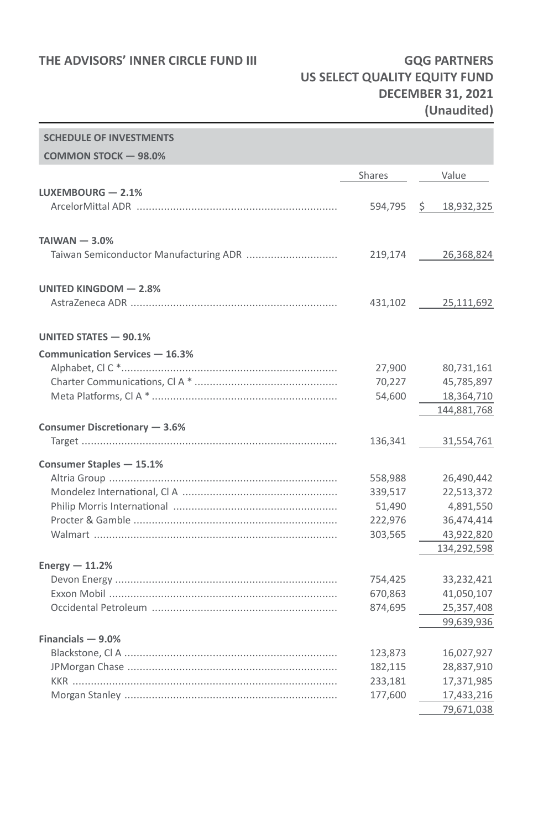### **THE ADVISORS' INNER CIRCLE FUND III GQG PARTNERS**

**SCHEDULE OF INVESTIGATION** 

# **US SELECT QUALITY EQUITY FUND DECEMBER 31, 2021 (Unaudited)**

| <b>SCHEDULE OF INVESTMENTS</b> |               |                  |
|--------------------------------|---------------|------------------|
| COMMON STOCK - 98.0%           |               |                  |
|                                | <b>Shares</b> | Value            |
| LUXEMBOURG $-2.1%$             |               |                  |
|                                | 594,795       | \$<br>18,932,325 |
|                                |               |                  |
| $TAIWAN - 3.0%$                |               |                  |
|                                | 219,174       | 26,368,824       |
|                                |               |                  |
| UNITED KINGDOM - 2.8%          |               |                  |
|                                | 431,102       | 25,111,692       |
|                                |               |                  |
| UNITED STATES - 90.1%          |               |                  |
| Communication Services - 16.3% |               |                  |
|                                | 27,900        | 80,731,161       |
|                                | 70,227        | 45,785,897       |
|                                | 54,600        | 18,364,710       |
|                                |               | 144,881,768      |
| Consumer Discretionary - 3.6%  |               |                  |
|                                | 136,341       | 31,554,761       |
| Consumer Staples - 15.1%       |               |                  |
|                                | 558,988       | 26,490,442       |
|                                | 339,517       | 22,513,372       |
|                                | 51,490        | 4,891,550        |
|                                | 222,976       | 36,474,414       |
|                                | 303,565       | 43,922,820       |
|                                |               | 134,292,598      |
| Energy $-11.2%$                |               |                  |
|                                | 754,425       | 33,232,421       |
|                                | 670,863       | 41,050,107       |
|                                | 874,695       | 25,357,408       |
|                                |               | 99,639,936       |
| Financials $-9.0%$             |               |                  |
|                                | 123,873       | 16,027,927       |
|                                | 182,115       | 28,837,910       |
|                                | 233,181       | 17,371,985       |
|                                | 177,600       | 17,433,216       |
|                                |               | 79,671,038       |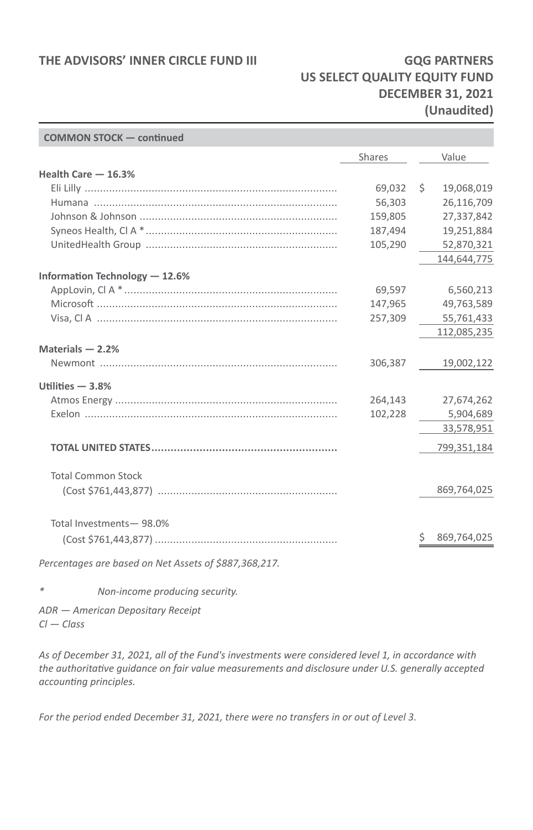#### THE ADVISORS' INNER CIRCLE FUND III **GQG PARTNERS**

## **US SELECT QUALITY EQUITY FUND DECEMBER 31, 2021 (Unaudited)**

| <b>COMMON STOCK - continued</b>                       |               |    |             |
|-------------------------------------------------------|---------------|----|-------------|
|                                                       | <b>Shares</b> |    | Value       |
| Health Care - 16.3%                                   |               |    |             |
|                                                       | 69,032        | Ŝ. | 19,068,019  |
|                                                       | 56,303        |    | 26,116,709  |
|                                                       | 159,805       |    | 27,337,842  |
|                                                       | 187,494       |    | 19,251,884  |
|                                                       | 105,290       |    | 52,870,321  |
|                                                       |               |    | 144,644,775 |
| Information Technology - 12.6%                        |               |    |             |
|                                                       | 69,597        |    | 6,560,213   |
|                                                       | 147,965       |    | 49,763,589  |
|                                                       | 257,309       |    | 55,761,433  |
|                                                       |               |    | 112,085,235 |
| Materials $-2.2%$                                     |               |    |             |
|                                                       | 306,387       |    | 19,002,122  |
| Utilities $-3.8%$                                     |               |    |             |
|                                                       | 264,143       |    | 27,674,262  |
|                                                       | 102,228       |    | 5,904,689   |
|                                                       |               |    | 33,578,951  |
|                                                       |               |    | 799,351,184 |
| <b>Total Common Stock</b>                             |               |    |             |
|                                                       |               |    | 869,764,025 |
|                                                       |               |    |             |
| Total Investments-98.0%                               |               |    |             |
|                                                       |               | S  | 869,764,025 |
| Percentages are based on Net Assets of \$887,368,217. |               |    |             |
|                                                       |               |    |             |

*\* Non-income producing security.*

*ADR — American Depositary Receipt Cl — Class*

*As of December 31, 2021, all of the Fund's investments were considered level 1, in accordance with the authoritative guidance on fair value measurements and disclosure under U.S. generally accepted accounting principles.*

*For the period ended December 31, 2021, there were no transfers in or out of Level 3.*